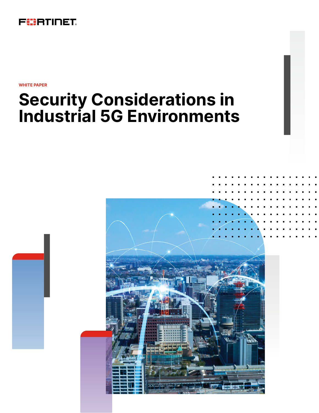

**WHITE PAPER**

# **Security Considerations in Industrial 5G Environments**

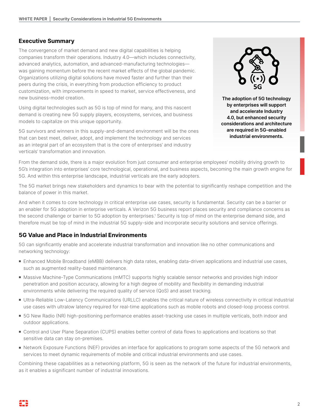## **Executive Summary**

The convergence of market demand and new digital capabilities is helping companies transform their operations. Industry 4.0—which includes connectivity, advanced analytics, automation, and advanced-manufacturing technologies was gaining momentum before the recent market effects of the global pandemic. Organizations utilizing digital solutions have moved faster and further than their peers during the crisis, in everything from production efficiency to product customization, with improvements in speed to market, service effectiveness, and new business-model creation.

Using digital technologies such as 5G is top of mind for many, and this nascent demand is creating new 5G supply players, ecosystems, services, and business models to capitalize on this unique opportunity.

5G survivors and winners in this supply-and-demand environment will be the ones that can best meet, deliver, adopt, and implement the technology and services as an integral part of an ecosystem that is the core of enterprises' and industry verticals' transformation and innovation.



**The adoption of 5G technology by enterprises will support and accelerate Industry 4.0, but enhanced security considerations and architecture are required in 5G-enabled industrial environments.**

From the demand side, there is a major evolution from just consumer and enterprise employees' mobility driving growth to 5G's integration into enterprises' core technological, operational, and business aspects, becoming the main growth engine for 5G. And within this enterprise landscape, industrial verticals are the early adopters.

The 5G market brings new stakeholders and dynamics to bear with the potential to significantly reshape competition and the balance of power in this market.

And when it comes to core technology in critical enterprise use cases, security is fundamental. Security can be a barrier or an enabler for 5G adoption in enterprise verticals. A Verizon 5G business report places security and compliance concerns as the second challenge or barrier to 5G adoption by enterprises.<sup>1</sup> Security is top of mind on the enterprise demand side, and therefore must be top of mind in the industrial 5G supply-side and incorporate security solutions and service offerings.

## **5G Value and Place in Industrial Environments**

5G can significantly enable and accelerate industrial transformation and innovation like no other communications and networking technology:

- Enhanced Mobile Broadband (eMBB) delivers high data rates, enabling data-driven applications and industrial use cases, such as augmented reality-based maintenance.
- Massive Machine-Type Communications (mMTC) supports highly scalable sensor networks and provides high indoor penetration and position accuracy, allowing for a high degree of mobility and flexibility in demanding industrial environments while delivering the required quality of service (QoS) and asset tracking.
- <sup>n</sup> Ultra-Reliable Low-Latency Communications (URLLC) enables the critical nature of wireless connectivity in critical industrial use cases with ultralow latency required for real-time applications such as mobile robots and closed-loop process control.
- 5G New Radio (NR) high-positioning performance enables asset-tracking use cases in multiple verticals, both indoor and outdoor applications.
- Control and User Plane Separation (CUPS) enables better control of data flows to applications and locations so that sensitive data can stay on-premises.
- Network Exposure Functions (NEF) provides an interface for applications to program some aspects of the 5G network and services to meet dynamic requirements of mobile and critical industrial environments and use cases.

Combining these capabilities as a networking platform, 5G is seen as the network of the future for industrial environments, as it enables a significant number of industrial innovations.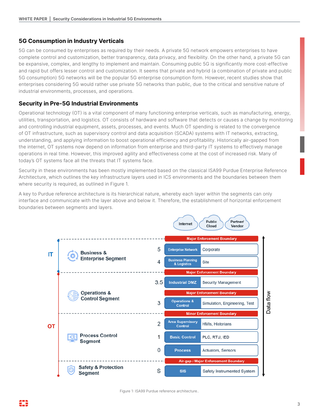## **5G Consumption in Industry Verticals**

5G can be consumed by enterprises as required by their needs. A private 5G network empowers enterprises to have complete control and customization, better transparency, data privacy, and flexibility. On the other hand, a private 5G can be expansive, complex, and lengthy to implement and maintain. Consuming public 5G is significantly more cost-effective and rapid but offers lesser control and customization. It seems that private and hybrid (a combination of private and public 5G consumption) 5G networks will be the popular 5G enterprise consumption form. However, recent studies show that enterprises considering 5G would rather use private 5G networks than public, due to the critical and sensitive nature of industrial environments, processes, and operations.

## **Security in Pre-5G Industrial Environments**

Operational technology (OT) is a vital component of many functioning enterprise verticals, such as manufacturing, energy, utilities, transportation, and logistics. OT consists of hardware and software that detects or causes a change by monitoring and controlling industrial equipment, assets, processes, and events. Much OT spending is related to the convergence of OT infrastructure, such as supervisory control and data acquisition (SCADA) systems with IT networks, extracting, understanding, and applying information to boost operational efficiency and profitability. Historically air-gapped from the internet, OT systems now depend on information from enterprise and third-party IT systems to effectively manage operations in real time. However, this improved agility and effectiveness come at the cost of increased risk. Many of today's OT systems face all the threats that IT systems face.

Security in these environments has been mostly implemented based on the classical ISA99 Purdue Enterprise Reference Architecture, which outlines the key infrastructure layers used in ICS environments and the boundaries between them where security is required, as outlined in Figure 1.

A key to Purdue reference architecture is its hierarchical nature, whereby each layer within the segments can only interface and communicate with the layer above and below it. Therefore, the establishment of horizontal enforcement boundaries between segments and layers.



Figure 1: ISA99 Purdue reference architecture..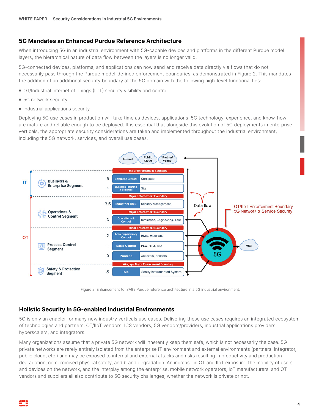## **5G Mandates an Enhanced Purdue Reference Architecture**

When introducing 5G in an industrial environment with 5G-capable devices and platforms in the different Purdue model layers, the hierarchical nature of data flow between the layers is no longer valid.

5G-connected devices, platforms, and applications can now send and receive data directly via flows that do not necessarily pass through the Purdue model-defined enforcement boundaries, as demonstrated in Figure 2. This mandates the addition of an additional security boundary at the 5G domain with the following high-level functionalities:

- OT/Industrial Internet of Things (IIoT) security visibility and control
- 5G network security
- **n** Industrial applications security

Deploying 5G use cases in production will take time as devices, applications, 5G technology, experience, and know-how are mature and reliable enough to be deployed. It is essential that alongside this evolution of 5G deployments in enterprise verticals, the appropriate security considerations are taken and implemented throughout the industrial environment, including the 5G network, services, and overall use cases.



Figure 2: Enhancement to ISA99 Purdue reference architecture in a 5G industrial environment.

## **Holistic Security in 5G-enabled Industrial Environments**

5G is only an enabler for many new industry verticals use cases. Delivering these use cases requires an integrated ecosystem of technologies and partners: OT/IIoT vendors, ICS vendors, 5G vendors/providers, industrial applications providers, hyperscalers, and integrators.

Many organizations assume that a private 5G network will inherently keep them safe, which is not necessarily the case. 5G private networks are rarely entirely isolated from the enterprise IT environment and external environments (partners, integrator, public cloud, etc.) and may be exposed to internal and external attacks and risks resulting in productivity and production degradation, compromised physical safety, and brand degradation. An increase in OT and IIoT exposure, the mobility of users and devices on the network, and the interplay among the enterprise, mobile network operators, IoT manufacturers, and OT vendors and suppliers all also contribute to 5G security challenges, whether the network is private or not.